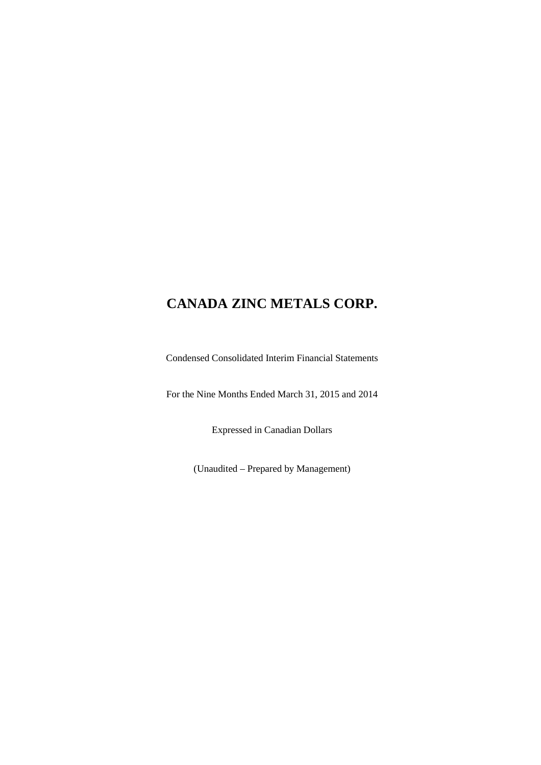Condensed Consolidated Interim Financial Statements

For the Nine Months Ended March 31, 2015 and 2014

Expressed in Canadian Dollars

(Unaudited – Prepared by Management)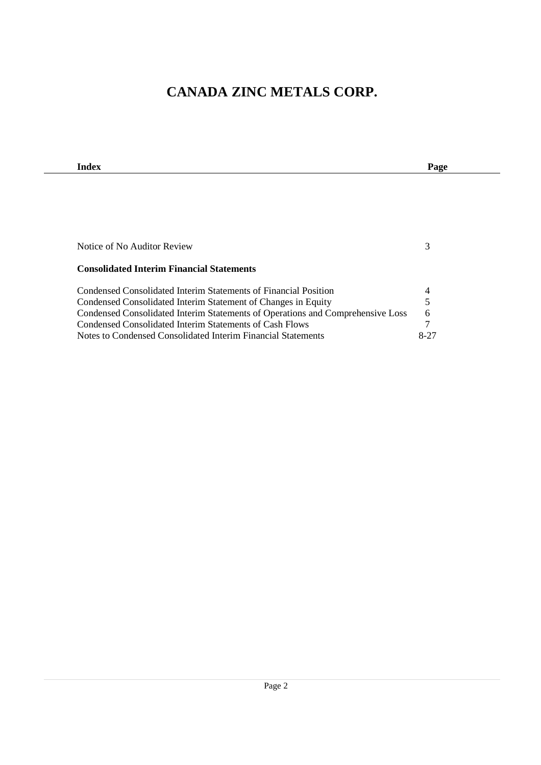| Index                                                                          | Page |
|--------------------------------------------------------------------------------|------|
|                                                                                |      |
|                                                                                |      |
|                                                                                |      |
|                                                                                |      |
|                                                                                |      |
| Notice of No Auditor Review                                                    | 3    |
|                                                                                |      |
| <b>Consolidated Interim Financial Statements</b>                               |      |
|                                                                                |      |
| Condensed Consolidated Interim Statements of Financial Position                | 4    |
| Condensed Consolidated Interim Statement of Changes in Equity                  | 5    |
| Condensed Consolidated Interim Statements of Operations and Comprehensive Loss | 6    |
| Condensed Consolidated Interim Statements of Cash Flows                        | 7    |
| Notes to Condensed Consolidated Interim Financial Statements                   | 8-27 |

 $\mathbf{r}$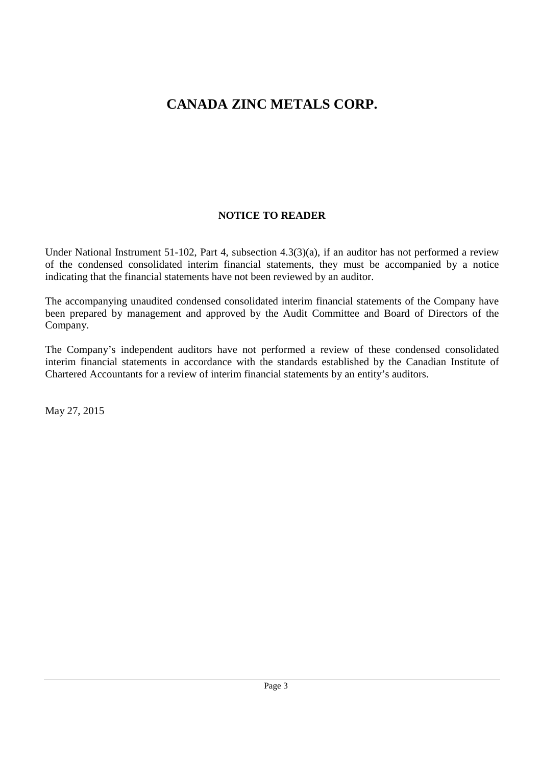# **NOTICE TO READER**

Under National Instrument 51-102, Part 4, subsection 4.3(3)(a), if an auditor has not performed a review of the condensed consolidated interim financial statements, they must be accompanied by a notice indicating that the financial statements have not been reviewed by an auditor.

The accompanying unaudited condensed consolidated interim financial statements of the Company have been prepared by management and approved by the Audit Committee and Board of Directors of the Company.

The Company's independent auditors have not performed a review of these condensed consolidated interim financial statements in accordance with the standards established by the Canadian Institute of Chartered Accountants for a review of interim financial statements by an entity's auditors.

May 27, 2015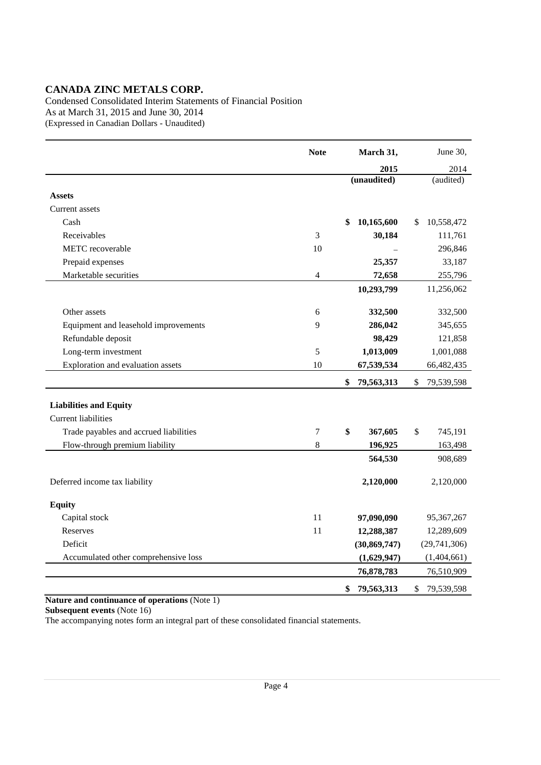Condensed Consolidated Interim Statements of Financial Position As at March 31, 2015 and June 30, 2014 (Expressed in Canadian Dollars - Unaudited)

|                                        | <b>Note</b>    | March 31,        | June 30,         |
|----------------------------------------|----------------|------------------|------------------|
|                                        |                | 2015             | 2014             |
|                                        |                | (unaudited)      | (audited)        |
| <b>Assets</b>                          |                |                  |                  |
| Current assets                         |                |                  |                  |
| Cash                                   |                | 10,165,600<br>\$ | 10,558,472<br>\$ |
| Receivables                            | 3              | 30,184           | 111,761          |
| METC recoverable                       | 10             |                  | 296,846          |
| Prepaid expenses                       |                | 25,357           | 33,187           |
| Marketable securities                  | $\overline{4}$ | 72,658           | 255,796          |
|                                        |                | 10,293,799       | 11,256,062       |
|                                        |                |                  |                  |
| Other assets                           | 6              | 332,500          | 332,500          |
| Equipment and leasehold improvements   | 9              | 286,042          | 345,655          |
| Refundable deposit                     |                | 98,429           | 121,858          |
| Long-term investment                   | 5              | 1,013,009        | 1,001,088        |
| Exploration and evaluation assets      | 10             | 67,539,534       | 66,482,435       |
|                                        |                | \$<br>79,563,313 | \$<br>79,539,598 |
| <b>Liabilities and Equity</b>          |                |                  |                  |
| <b>Current liabilities</b>             |                |                  |                  |
| Trade payables and accrued liabilities | 7              | \$<br>367,605    | \$<br>745,191    |
| Flow-through premium liability         | 8              | 196,925          | 163,498          |
|                                        |                |                  |                  |
|                                        |                | 564,530          | 908,689          |
| Deferred income tax liability          |                | 2,120,000        | 2,120,000        |
|                                        |                |                  |                  |
| <b>Equity</b>                          |                |                  |                  |
| Capital stock                          | 11             | 97,090,090       | 95,367,267       |
| Reserves                               | 11             | 12,288,387       | 12,289,609       |
| Deficit                                |                | (30, 869, 747)   | (29,741,306)     |
| Accumulated other comprehensive loss   |                | (1,629,947)      | (1,404,661)      |
|                                        |                | 76,878,783       | 76,510,909       |
|                                        |                | \$<br>79,563,313 | \$<br>79,539,598 |

#### **Nature and continuance of operations** (Note 1)

**Subsequent events** (Note 16)

The accompanying notes form an integral part of these consolidated financial statements.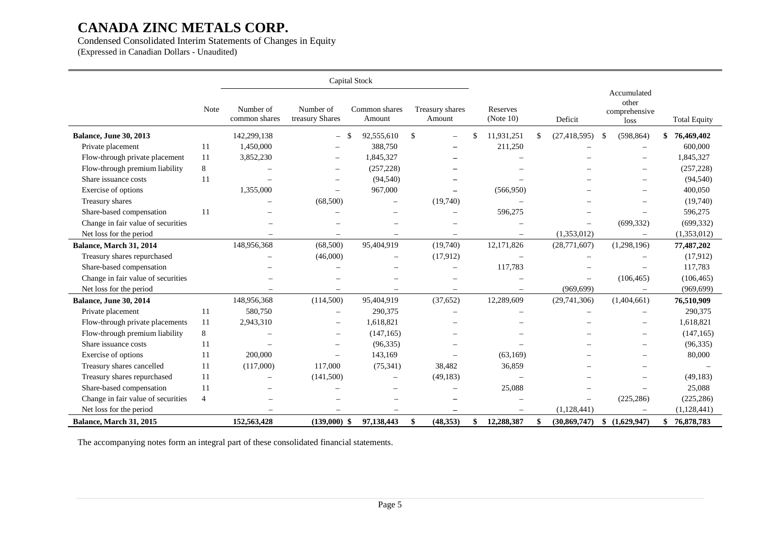### Condensed Consolidated Interim Statements of Changes in Equity

(Expressed in Canadian Dollars - Unaudited)

|                                    |                |                            | Capital Stock                |                          |                           |                          |    |                          |                                               |                     |
|------------------------------------|----------------|----------------------------|------------------------------|--------------------------|---------------------------|--------------------------|----|--------------------------|-----------------------------------------------|---------------------|
|                                    | Note           | Number of<br>common shares | Number of<br>treasury Shares | Common shares<br>Amount  | Treasury shares<br>Amount | Reserves<br>(Note $10$ ) |    | Deficit                  | Accumulated<br>other<br>comprehensive<br>loss | <b>Total Equity</b> |
| <b>Balance, June 30, 2013</b>      |                | 142,299,138                | $-$ \$                       | 92,555,610               | \$                        | 11,931,251               |    | (27, 418, 595)           | (598, 864)<br>$\mathbb{S}$                    | 76,469,402<br>\$    |
| Private placement                  | 11             | 1,450,000                  |                              | 388,750                  |                           | 211,250                  |    |                          | $\overline{\phantom{0}}$                      | 600,000             |
| Flow-through private placement     | 11             | 3,852,230                  |                              | 1,845,327                |                           |                          |    |                          |                                               | 1,845,327           |
| Flow-through premium liability     | 8              |                            | $\overline{\phantom{m}}$     | (257, 228)               |                           |                          |    |                          | $\overline{\phantom{m}}$                      | (257, 228)          |
| Share issuance costs               | 11             |                            |                              | (94, 540)                |                           |                          |    |                          |                                               | (94, 540)           |
| Exercise of options                |                | 1,355,000                  |                              | 967,000                  |                           | (566,950)                |    |                          |                                               | 400,050             |
| Treasury shares                    |                |                            | (68,500)                     | $\equiv$                 | (19,740)                  |                          |    |                          |                                               | (19,740)            |
| Share-based compensation           | 11             |                            |                              |                          |                           | 596,275                  |    |                          |                                               | 596,275             |
| Change in fair value of securities |                |                            |                              |                          |                           |                          |    |                          | (699, 332)                                    | (699, 332)          |
| Net loss for the period            |                |                            |                              |                          |                           |                          |    | (1,353,012)              |                                               | (1,353,012)         |
| Balance, March 31, 2014            |                | 148,956,368                | (68,500)                     | 95,404,919               | (19,740)                  | 12,171,826               |    | (28,771,607)             | (1,298,196)                                   | 77,487,202          |
| Treasury shares repurchased        |                |                            | (46,000)                     | $\overline{\phantom{0}}$ | (17, 912)                 |                          |    |                          |                                               | (17,912)            |
| Share-based compensation           |                |                            |                              |                          |                           | 117,783                  |    |                          |                                               | 117,783             |
| Change in fair value of securities |                |                            |                              |                          |                           |                          |    | $\overline{\phantom{0}}$ | (106, 465)                                    | (106, 465)          |
| Net loss for the period            |                |                            |                              |                          |                           |                          |    | (969.699)                |                                               | (969, 699)          |
| Balance, June 30, 2014             |                | 148,956,368                | (114,500)                    | 95,404,919               | (37, 652)                 | 12,289,609               |    | (29,741,306)             | (1,404,661)                                   | 76,510,909          |
| Private placement                  | 11             | 580,750                    | $\overline{\phantom{0}}$     | 290,375                  |                           |                          |    |                          |                                               | 290,375             |
| Flow-through private placements    | 11             | 2,943,310                  | $\equiv$                     | 1,618,821                |                           |                          |    |                          | $\sim$                                        | 1,618,821           |
| Flow-through premium liability     | 8              |                            |                              | (147, 165)               |                           |                          |    |                          |                                               | (147, 165)          |
| Share issuance costs               | 11             |                            | $\overline{\phantom{a}}$     | (96, 335)                |                           |                          |    |                          | $\overline{\phantom{0}}$                      | (96, 335)           |
| Exercise of options                | 11             | 200,000                    | Ē,                           | 143,169                  |                           | (63, 169)                |    |                          |                                               | 80,000              |
| Treasury shares cancelled          | 11             | (117,000)                  | 117,000                      | (75, 341)                | 38,482                    | 36,859                   |    |                          |                                               |                     |
| Treasury shares repurchased        | 11             | $\overline{\phantom{0}}$   | (141,500)                    |                          | (49, 183)                 |                          |    |                          |                                               | (49, 183)           |
| Share-based compensation           | 11             |                            |                              |                          |                           | 25.088                   |    |                          |                                               | 25,088              |
| Change in fair value of securities | $\overline{4}$ |                            |                              |                          |                           |                          |    |                          | (225, 286)                                    | (225, 286)          |
| Net loss for the period            |                |                            |                              |                          |                           |                          |    | (1,128,441)              |                                               | (1, 128, 441)       |
| Balance, March 31, 2015            |                | 152,563,428                | $(139,000)$ \$               | 97,138,443               | \$<br>(48, 353)           | \$<br>12,288,387         | \$ | (30, 869, 747)           | (1,629,947)<br>\$                             | \$76,878,783        |

The accompanying notes form an integral part of these consolidated financial statements.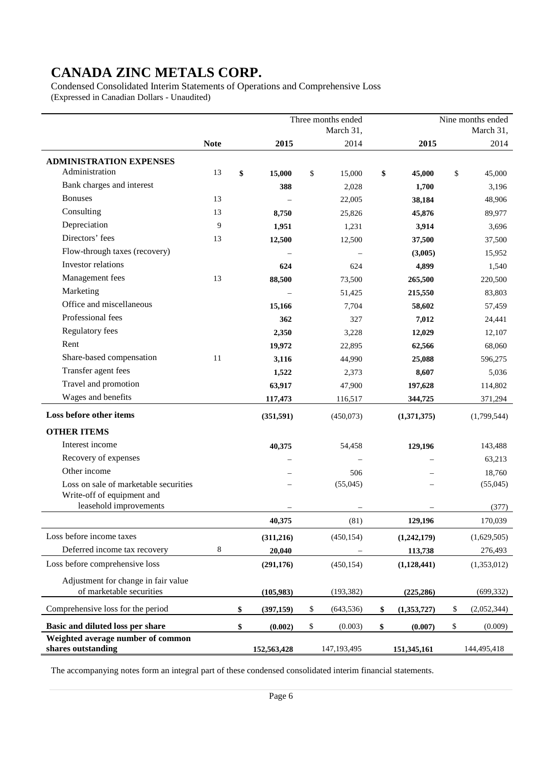Condensed Consolidated Interim Statements of Operations and Comprehensive Loss (Expressed in Canadian Dollars - Unaudited)

|                                                         |             |                  | Three months ended |                   | Nine months ended |
|---------------------------------------------------------|-------------|------------------|--------------------|-------------------|-------------------|
|                                                         |             |                  | March 31,          |                   | March 31,         |
|                                                         | <b>Note</b> | 2015             | 2014               | 2015              | 2014              |
| <b>ADMINISTRATION EXPENSES</b>                          |             |                  |                    |                   |                   |
| Administration                                          | 13          | \$<br>15,000     | \$<br>15,000       | \$<br>45,000      | \$<br>45,000      |
| Bank charges and interest                               |             | 388              | 2,028              | 1,700             | 3,196             |
| <b>Bonuses</b>                                          | 13          |                  | 22,005             | 38,184            | 48,906            |
| Consulting                                              | 13          | 8,750            | 25,826             | 45,876            | 89,977            |
| Depreciation                                            | 9           | 1,951            | 1,231              | 3,914             | 3,696             |
| Directors' fees                                         | 13          | 12,500           | 12,500             | 37,500            | 37,500            |
| Flow-through taxes (recovery)                           |             |                  |                    | (3,005)           | 15,952            |
| Investor relations                                      |             | 624              | 624                | 4,899             | 1,540             |
| Management fees                                         | 13          | 88,500           | 73,500             | 265,500           | 220,500           |
| Marketing                                               |             |                  | 51,425             | 215,550           | 83,803            |
| Office and miscellaneous                                |             | 15,166           | 7,704              | 58,602            | 57,459            |
| Professional fees                                       |             | 362              | 327                | 7,012             | 24,441            |
| <b>Regulatory fees</b>                                  |             | 2,350            | 3,228              | 12,029            | 12,107            |
| Rent                                                    |             | 19,972           | 22,895             | 62,566            | 68,060            |
| Share-based compensation                                | 11          | 3,116            | 44,990             | 25,088            | 596,275           |
| Transfer agent fees                                     |             | 1,522            | 2,373              | 8,607             | 5,036             |
| Travel and promotion                                    |             | 63,917           | 47,900             | 197,628           | 114,802           |
| Wages and benefits                                      |             | 117,473          | 116,517            | 344,725           | 371,294           |
| Loss before other items                                 |             | (351,591)        | (450,073)          | (1,371,375)       | (1,799,544)       |
| <b>OTHER ITEMS</b>                                      |             |                  |                    |                   |                   |
| Interest income                                         |             | 40,375           | 54,458             | 129,196           | 143,488           |
| Recovery of expenses                                    |             |                  |                    |                   | 63,213            |
| Other income                                            |             |                  | 506                |                   | 18,760            |
| Loss on sale of marketable securities                   |             |                  | (55,045)           |                   | (55,045)          |
| Write-off of equipment and                              |             |                  |                    |                   |                   |
| leasehold improvements                                  |             |                  |                    |                   | (377)             |
|                                                         |             | 40,375           | (81)               | 129,196           | 170,039           |
| Loss before income taxes                                |             | (311,216)        | (450, 154)         | (1,242,179)       | (1,629,505)       |
| Deferred income tax recovery                            | 8           | 20,040           |                    | 113,738           | 276,493           |
| Loss before comprehensive loss                          |             | (291, 176)       | (450, 154)         | (1,128,441)       | (1,353,012)       |
| Adjustment for change in fair value                     |             |                  |                    |                   |                   |
| of marketable securities                                |             | (105,983)        | (193, 382)         | (225, 286)        | (699, 332)        |
| Comprehensive loss for the period                       |             | \$<br>(397, 159) | \$<br>(643, 536)   | \$<br>(1,353,727) | \$<br>(2,052,344) |
| Basic and diluted loss per share                        |             | \$<br>(0.002)    | \$<br>(0.003)      | \$<br>(0.007)     | \$<br>(0.009)     |
| Weighted average number of common<br>shares outstanding |             | 152,563,428      | 147,193,495        | 151,345,161       | 144,495,418       |

The accompanying notes form an integral part of these condensed consolidated interim financial statements.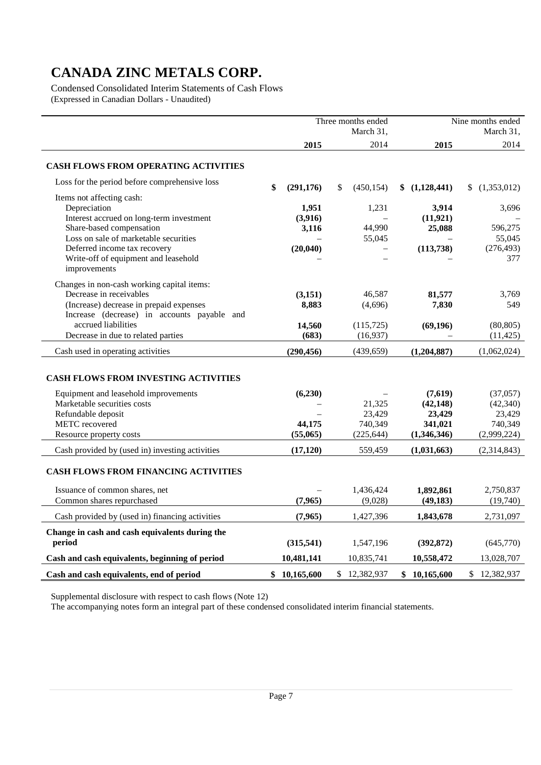Condensed Consolidated Interim Statements of Cash Flows (Expressed in Canadian Dollars - Unaudited)

|                                                          |                  | Three months ended       | Nine months ended |              |                   |  |
|----------------------------------------------------------|------------------|--------------------------|-------------------|--------------|-------------------|--|
|                                                          |                  | March 31,                |                   |              | March 31,         |  |
|                                                          | 2015             | 2014                     |                   | 2015         | 2014              |  |
| <b>CASH FLOWS FROM OPERATING ACTIVITIES</b>              |                  |                          |                   |              |                   |  |
| Loss for the period before comprehensive loss            | \$<br>(291, 176) | \$<br>(450, 154)         | \$                | (1,128,441)  | (1,353,012)<br>\$ |  |
| Items not affecting cash:                                |                  |                          |                   |              |                   |  |
| Depreciation                                             | 1,951            | 1,231                    |                   | 3,914        | 3,696             |  |
| Interest accrued on long-term investment                 | (3,916)          |                          |                   | (11, 921)    |                   |  |
| Share-based compensation                                 | 3,116            | 44,990                   |                   | 25,088       | 596,275           |  |
| Loss on sale of marketable securities                    |                  | 55,045                   |                   |              | 55,045            |  |
| Deferred income tax recovery                             | (20, 040)        | $\overline{\phantom{0}}$ |                   | (113, 738)   | (276, 493)        |  |
| Write-off of equipment and leasehold                     |                  | $\overline{\phantom{0}}$ |                   |              | 377               |  |
| improvements                                             |                  |                          |                   |              |                   |  |
| Changes in non-cash working capital items:               |                  |                          |                   |              |                   |  |
| Decrease in receivables                                  | (3,151)          | 46,587                   |                   | 81,577       | 3,769             |  |
| (Increase) decrease in prepaid expenses                  | 8,883            | (4,696)                  |                   | 7,830        | 549               |  |
| Increase (decrease) in accounts payable and              |                  |                          |                   |              |                   |  |
| accrued liabilities                                      | 14,560           | (115, 725)               |                   | (69, 196)    | (80, 805)         |  |
| Decrease in due to related parties                       | (683)            | (16, 937)                |                   |              | (11, 425)         |  |
| Cash used in operating activities                        | (290, 456)       | (439, 659)               |                   | (1,204,887)  | (1,062,024)       |  |
| <b>CASH FLOWS FROM INVESTING ACTIVITIES</b>              |                  |                          |                   |              |                   |  |
| Equipment and leasehold improvements                     | (6,230)          |                          |                   | (7,619)      | (37,057)          |  |
| Marketable securities costs                              |                  | 21,325                   |                   | (42, 148)    | (42, 340)         |  |
| Refundable deposit                                       |                  | 23,429                   |                   | 23,429       | 23,429            |  |
| <b>METC</b> recovered                                    | 44,175           | 740,349                  |                   | 341,021      | 740,349           |  |
| Resource property costs                                  | (55,065)         | (225, 644)               |                   | (1,346,346)  | (2,999,224)       |  |
| Cash provided by (used in) investing activities          | (17, 120)        | 559,459                  |                   | (1,031,663)  | (2,314,843)       |  |
| <b>CASH FLOWS FROM FINANCING ACTIVITIES</b>              |                  |                          |                   |              |                   |  |
| Issuance of common shares, net                           |                  | 1,436,424                |                   | 1,892,861    | 2,750,837         |  |
| Common shares repurchased                                | (7,965)          | (9,028)                  |                   | (49, 183)    | (19,740)          |  |
| Cash provided by (used in) financing activities          | (7,965)          | 1,427,396                |                   | 1,843,678    | 2,731,097         |  |
| Change in cash and cash equivalents during the<br>period | (315,541)        | 1,547,196                |                   | (392, 872)   | (645,770)         |  |
| Cash and cash equivalents, beginning of period           | 10,481,141       | 10,835,741               |                   | 10,558,472   | 13,028,707        |  |
| Cash and cash equivalents, end of period                 | \$10,165,600     | \$12,382,937             |                   | \$10,165,600 | \$12,382,937      |  |

Supplemental disclosure with respect to cash flows (Note 12)

The accompanying notes form an integral part of these condensed consolidated interim financial statements.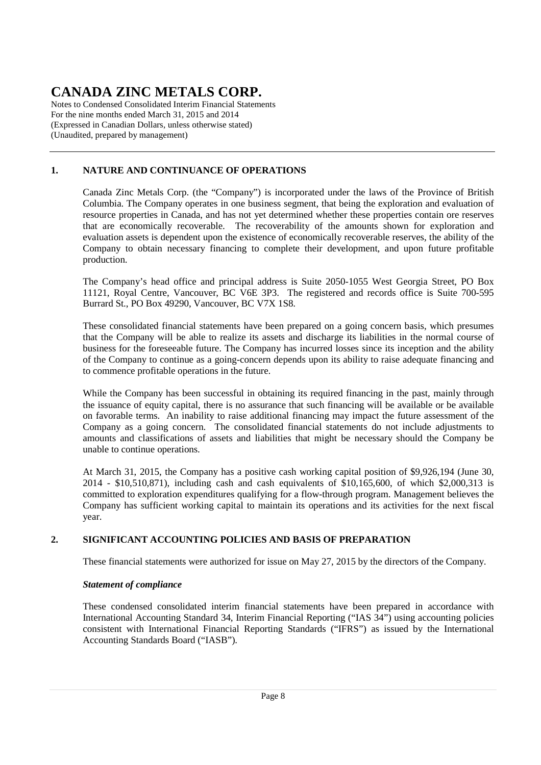Notes to Condensed Consolidated Interim Financial Statements For the nine months ended March 31, 2015 and 2014 (Expressed in Canadian Dollars, unless otherwise stated) (Unaudited, prepared by management)

### **1. NATURE AND CONTINUANCE OF OPERATIONS**

Canada Zinc Metals Corp. (the "Company") is incorporated under the laws of the Province of British Columbia. The Company operates in one business segment, that being the exploration and evaluation of resource properties in Canada, and has not yet determined whether these properties contain ore reserves that are economically recoverable. The recoverability of the amounts shown for exploration and evaluation assets is dependent upon the existence of economically recoverable reserves, the ability of the Company to obtain necessary financing to complete their development, and upon future profitable production.

The Company's head office and principal address is Suite 2050-1055 West Georgia Street, PO Box 11121, Royal Centre, Vancouver, BC V6E 3P3. The registered and records office is Suite 700-595 Burrard St., PO Box 49290, Vancouver, BC V7X 1S8.

These consolidated financial statements have been prepared on a going concern basis, which presumes that the Company will be able to realize its assets and discharge its liabilities in the normal course of business for the foreseeable future. The Company has incurred losses since its inception and the ability of the Company to continue as a going-concern depends upon its ability to raise adequate financing and to commence profitable operations in the future.

While the Company has been successful in obtaining its required financing in the past, mainly through the issuance of equity capital, there is no assurance that such financing will be available or be available on favorable terms. An inability to raise additional financing may impact the future assessment of the Company as a going concern. The consolidated financial statements do not include adjustments to amounts and classifications of assets and liabilities that might be necessary should the Company be unable to continue operations.

At March 31, 2015, the Company has a positive cash working capital position of \$9,926,194 (June 30, 2014 - \$10,510,871), including cash and cash equivalents of \$10,165,600, of which \$2,000,313 is committed to exploration expenditures qualifying for a flow-through program. Management believes the Company has sufficient working capital to maintain its operations and its activities for the next fiscal year.

### **2. SIGNIFICANT ACCOUNTING POLICIES AND BASIS OF PREPARATION**

These financial statements were authorized for issue on May 27, 2015 by the directors of the Company.

### *Statement of compliance*

These condensed consolidated interim financial statements have been prepared in accordance with International Accounting Standard 34, Interim Financial Reporting ("IAS 34") using accounting policies consistent with International Financial Reporting Standards ("IFRS") as issued by the International Accounting Standards Board ("IASB").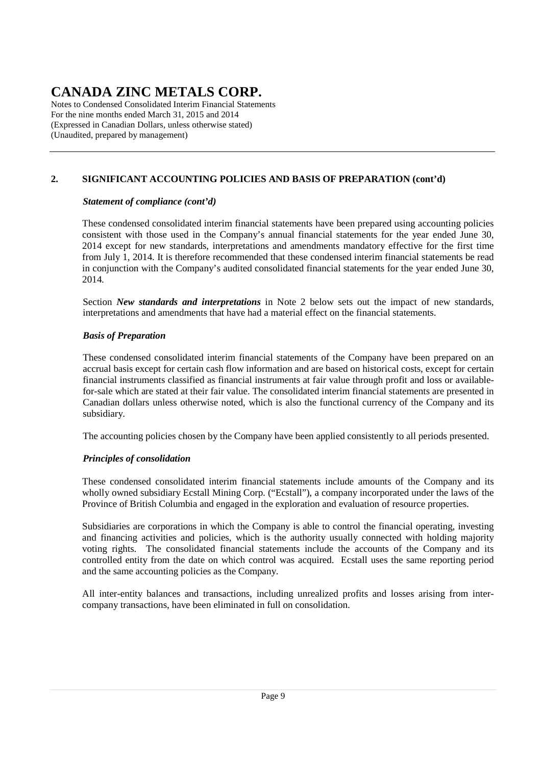Notes to Condensed Consolidated Interim Financial Statements For the nine months ended March 31, 2015 and 2014 (Expressed in Canadian Dollars, unless otherwise stated) (Unaudited, prepared by management)

# **2. SIGNIFICANT ACCOUNTING POLICIES AND BASIS OF PREPARATION (cont'd)**

### *Statement of compliance (cont'd)*

These condensed consolidated interim financial statements have been prepared using accounting policies consistent with those used in the Company's annual financial statements for the year ended June 30, 2014 except for new standards, interpretations and amendments mandatory effective for the first time from July 1, 2014. It is therefore recommended that these condensed interim financial statements be read in conjunction with the Company's audited consolidated financial statements for the year ended June 30, 2014.

Section *New standards and interpretations* in Note 2 below sets out the impact of new standards, interpretations and amendments that have had a material effect on the financial statements.

### *Basis of Preparation*

These condensed consolidated interim financial statements of the Company have been prepared on an accrual basis except for certain cash flow information and are based on historical costs, except for certain financial instruments classified as financial instruments at fair value through profit and loss or availablefor-sale which are stated at their fair value. The consolidated interim financial statements are presented in Canadian dollars unless otherwise noted, which is also the functional currency of the Company and its subsidiary.

The accounting policies chosen by the Company have been applied consistently to all periods presented.

### *Principles of consolidation*

These condensed consolidated interim financial statements include amounts of the Company and its wholly owned subsidiary Ecstall Mining Corp. ("Ecstall"), a company incorporated under the laws of the Province of British Columbia and engaged in the exploration and evaluation of resource properties.

Subsidiaries are corporations in which the Company is able to control the financial operating, investing and financing activities and policies, which is the authority usually connected with holding majority voting rights. The consolidated financial statements include the accounts of the Company and its controlled entity from the date on which control was acquired. Ecstall uses the same reporting period and the same accounting policies as the Company.

All inter-entity balances and transactions, including unrealized profits and losses arising from intercompany transactions, have been eliminated in full on consolidation.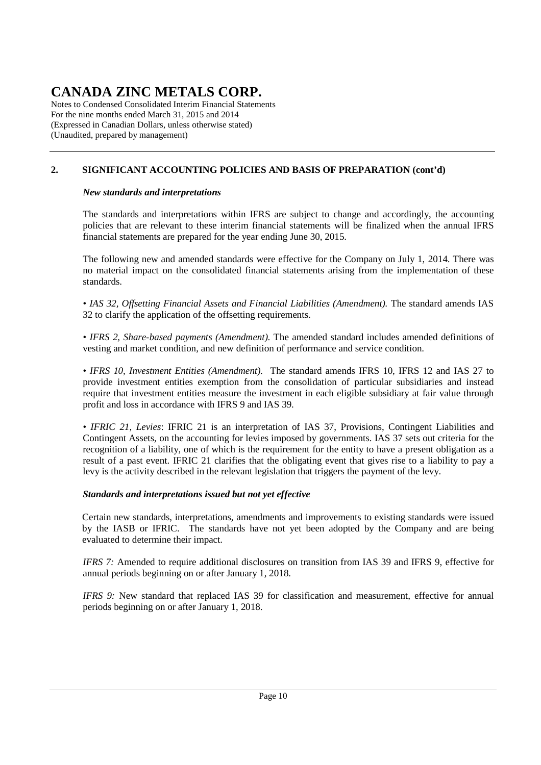Notes to Condensed Consolidated Interim Financial Statements For the nine months ended March 31, 2015 and 2014 (Expressed in Canadian Dollars, unless otherwise stated) (Unaudited, prepared by management)

# **2. SIGNIFICANT ACCOUNTING POLICIES AND BASIS OF PREPARATION (cont'd)**

### *New standards and interpretations*

The standards and interpretations within IFRS are subject to change and accordingly, the accounting policies that are relevant to these interim financial statements will be finalized when the annual IFRS financial statements are prepared for the year ending June 30, 2015.

The following new and amended standards were effective for the Company on July 1, 2014. There was no material impact on the consolidated financial statements arising from the implementation of these standards.

*• IAS 32, Offsetting Financial Assets and Financial Liabilities (Amendment).* The standard amends IAS 32 to clarify the application of the offsetting requirements.

*• IFRS 2, Share-based payments (Amendment).* The amended standard includes amended definitions of vesting and market condition, and new definition of performance and service condition.

*• IFRS 10, Investment Entities (Amendment).* The standard amends IFRS 10, IFRS 12 and IAS 27 to provide investment entities exemption from the consolidation of particular subsidiaries and instead require that investment entities measure the investment in each eligible subsidiary at fair value through profit and loss in accordance with IFRS 9 and IAS 39.

*• IFRIC 21, Levies*: IFRIC 21 is an interpretation of IAS 37, Provisions, Contingent Liabilities and Contingent Assets, on the accounting for levies imposed by governments. IAS 37 sets out criteria for the recognition of a liability, one of which is the requirement for the entity to have a present obligation as a result of a past event. IFRIC 21 clarifies that the obligating event that gives rise to a liability to pay a levy is the activity described in the relevant legislation that triggers the payment of the levy.

### *Standards and interpretations issued but not yet effective*

Certain new standards, interpretations, amendments and improvements to existing standards were issued by the IASB or IFRIC. The standards have not yet been adopted by the Company and are being evaluated to determine their impact.

*IFRS 7:* Amended to require additional disclosures on transition from IAS 39 and IFRS 9, effective for annual periods beginning on or after January 1, 2018.

*IFRS 9:* New standard that replaced IAS 39 for classification and measurement, effective for annual periods beginning on or after January 1, 2018.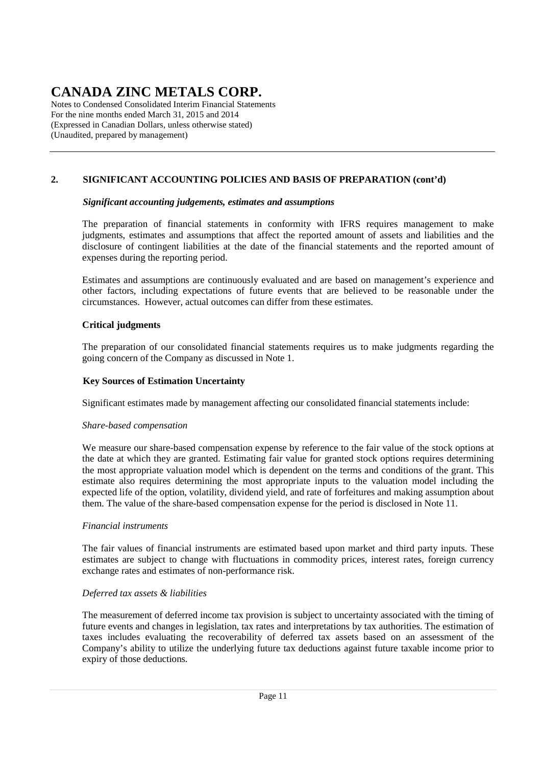Notes to Condensed Consolidated Interim Financial Statements For the nine months ended March 31, 2015 and 2014 (Expressed in Canadian Dollars, unless otherwise stated) (Unaudited, prepared by management)

### **2. SIGNIFICANT ACCOUNTING POLICIES AND BASIS OF PREPARATION (cont'd)**

### *Significant accounting judgements, estimates and assumptions*

The preparation of financial statements in conformity with IFRS requires management to make judgments, estimates and assumptions that affect the reported amount of assets and liabilities and the disclosure of contingent liabilities at the date of the financial statements and the reported amount of expenses during the reporting period.

Estimates and assumptions are continuously evaluated and are based on management's experience and other factors, including expectations of future events that are believed to be reasonable under the circumstances. However, actual outcomes can differ from these estimates.

### **Critical judgments**

The preparation of our consolidated financial statements requires us to make judgments regarding the going concern of the Company as discussed in Note 1.

### **Key Sources of Estimation Uncertainty**

Significant estimates made by management affecting our consolidated financial statements include:

### *Share-based compensation*

We measure our share-based compensation expense by reference to the fair value of the stock options at the date at which they are granted. Estimating fair value for granted stock options requires determining the most appropriate valuation model which is dependent on the terms and conditions of the grant. This estimate also requires determining the most appropriate inputs to the valuation model including the expected life of the option, volatility, dividend yield, and rate of forfeitures and making assumption about them. The value of the share-based compensation expense for the period is disclosed in Note 11.

### *Financial instruments*

The fair values of financial instruments are estimated based upon market and third party inputs. These estimates are subject to change with fluctuations in commodity prices, interest rates, foreign currency exchange rates and estimates of non-performance risk.

### *Deferred tax assets & liabilities*

The measurement of deferred income tax provision is subject to uncertainty associated with the timing of future events and changes in legislation, tax rates and interpretations by tax authorities. The estimation of taxes includes evaluating the recoverability of deferred tax assets based on an assessment of the Company's ability to utilize the underlying future tax deductions against future taxable income prior to expiry of those deductions.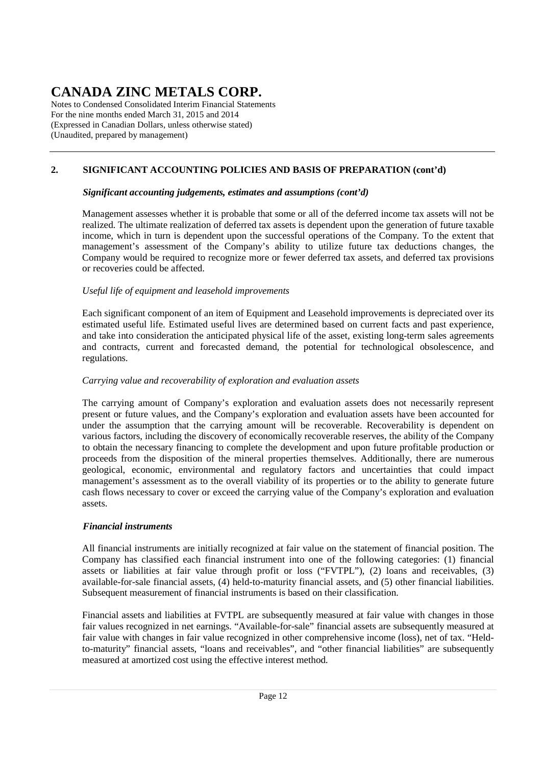Notes to Condensed Consolidated Interim Financial Statements For the nine months ended March 31, 2015 and 2014 (Expressed in Canadian Dollars, unless otherwise stated) (Unaudited, prepared by management)

# **2. SIGNIFICANT ACCOUNTING POLICIES AND BASIS OF PREPARATION (cont'd)**

### *Significant accounting judgements, estimates and assumptions (cont'd)*

Management assesses whether it is probable that some or all of the deferred income tax assets will not be realized. The ultimate realization of deferred tax assets is dependent upon the generation of future taxable income, which in turn is dependent upon the successful operations of the Company. To the extent that management's assessment of the Company's ability to utilize future tax deductions changes, the Company would be required to recognize more or fewer deferred tax assets, and deferred tax provisions or recoveries could be affected.

### *Useful life of equipment and leasehold improvements*

Each significant component of an item of Equipment and Leasehold improvements is depreciated over its estimated useful life. Estimated useful lives are determined based on current facts and past experience, and take into consideration the anticipated physical life of the asset, existing long-term sales agreements and contracts, current and forecasted demand, the potential for technological obsolescence, and regulations.

#### *Carrying value and recoverability of exploration and evaluation assets*

The carrying amount of Company's exploration and evaluation assets does not necessarily represent present or future values, and the Company's exploration and evaluation assets have been accounted for under the assumption that the carrying amount will be recoverable. Recoverability is dependent on various factors, including the discovery of economically recoverable reserves, the ability of the Company to obtain the necessary financing to complete the development and upon future profitable production or proceeds from the disposition of the mineral properties themselves. Additionally, there are numerous geological, economic, environmental and regulatory factors and uncertainties that could impact management's assessment as to the overall viability of its properties or to the ability to generate future cash flows necessary to cover or exceed the carrying value of the Company's exploration and evaluation assets.

### *Financial instruments*

All financial instruments are initially recognized at fair value on the statement of financial position. The Company has classified each financial instrument into one of the following categories: (1) financial assets or liabilities at fair value through profit or loss ("FVTPL"), (2) loans and receivables, (3) available-for-sale financial assets, (4) held-to-maturity financial assets, and (5) other financial liabilities. Subsequent measurement of financial instruments is based on their classification.

Financial assets and liabilities at FVTPL are subsequently measured at fair value with changes in those fair values recognized in net earnings. "Available-for-sale" financial assets are subsequently measured at fair value with changes in fair value recognized in other comprehensive income (loss), net of tax. "Heldto-maturity" financial assets, "loans and receivables", and "other financial liabilities" are subsequently measured at amortized cost using the effective interest method.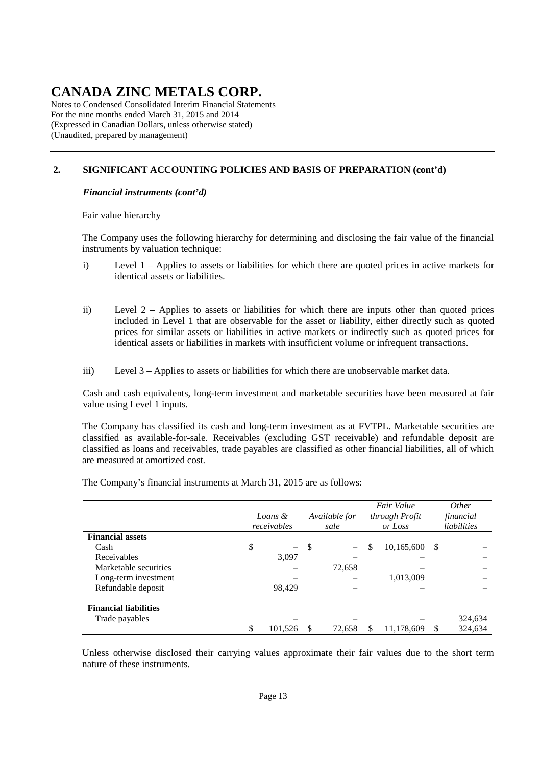Notes to Condensed Consolidated Interim Financial Statements For the nine months ended March 31, 2015 and 2014 (Expressed in Canadian Dollars, unless otherwise stated) (Unaudited, prepared by management)

### **2. SIGNIFICANT ACCOUNTING POLICIES AND BASIS OF PREPARATION (cont'd)**

### *Financial instruments (cont'd)*

Fair value hierarchy

The Company uses the following hierarchy for determining and disclosing the fair value of the financial instruments by valuation technique:

- i) Level 1 Applies to assets or liabilities for which there are quoted prices in active markets for identical assets or liabilities.
- ii) Level 2 Applies to assets or liabilities for which there are inputs other than quoted prices included in Level 1 that are observable for the asset or liability, either directly such as quoted prices for similar assets or liabilities in active markets or indirectly such as quoted prices for identical assets or liabilities in markets with insufficient volume or infrequent transactions.
- iii) Level 3 Applies to assets or liabilities for which there are unobservable market data.

 Cash and cash equivalents, long-term investment and marketable securities have been measured at fair value using Level 1 inputs.

The Company has classified its cash and long-term investment as at FVTPL. Marketable securities are classified as available-for-sale. Receivables (excluding GST receivable) and refundable deposit are classified as loans and receivables, trade payables are classified as other financial liabilities, all of which are measured at amortized cost.

|                              | Loans &<br>receivables         |    | Available for<br>sale |     | Fair Value<br>through Profit<br>or Loss |               | Other<br>financial<br>liabilities |
|------------------------------|--------------------------------|----|-----------------------|-----|-----------------------------------------|---------------|-----------------------------------|
| <b>Financial assets</b>      |                                |    |                       |     |                                         |               |                                   |
| Cash                         | \$<br>$\overline{\phantom{0}}$ | \$ |                       | \$  | 10,165,600                              | <sup>\$</sup> |                                   |
| Receivables                  | 3,097                          |    |                       |     |                                         |               |                                   |
| Marketable securities        |                                |    | 72,658                |     |                                         |               |                                   |
| Long-term investment         |                                |    |                       |     | 1,013,009                               |               |                                   |
| Refundable deposit           | 98,429                         |    |                       |     |                                         |               |                                   |
| <b>Financial liabilities</b> |                                |    |                       |     |                                         |               |                                   |
| Trade payables               |                                |    |                       |     |                                         |               | 324,634                           |
|                              | \$<br>101,526                  |    | 72,658                | \$. | 11,178,609                              | S             | 324,634                           |

The Company's financial instruments at March 31, 2015 are as follows:

Unless otherwise disclosed their carrying values approximate their fair values due to the short term nature of these instruments.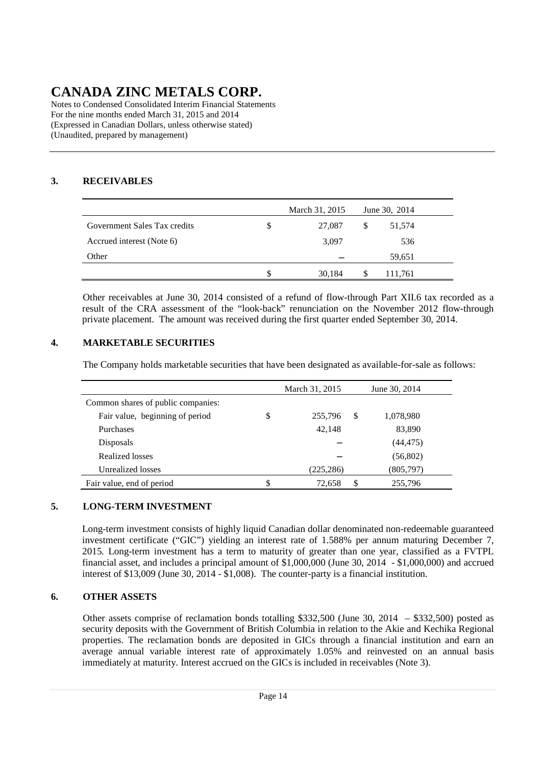Notes to Condensed Consolidated Interim Financial Statements For the nine months ended March 31, 2015 and 2014 (Expressed in Canadian Dollars, unless otherwise stated) (Unaudited, prepared by management)

### **3. RECEIVABLES**

|                              |    | March 31, 2015 | June 30, 2014 |  |
|------------------------------|----|----------------|---------------|--|
| Government Sales Tax credits | \$ | 27,087         | \$<br>51,574  |  |
| Accrued interest (Note 6)    |    | 3,097          | 536           |  |
| Other                        |    |                | 59,651        |  |
|                              | S  | 30,184         | 111,761       |  |

 Other receivables at June 30, 2014 consisted of a refund of flow-through Part XII.6 tax recorded as a result of the CRA assessment of the "look-back" renunciation on the November 2012 flow-through private placement. The amount was received during the first quarter ended September 30, 2014.

### **4. MARKETABLE SECURITIES**

The Company holds marketable securities that have been designated as available-for-sale as follows:

|                                    | March 31, 2015 |   | June 30, 2014 |
|------------------------------------|----------------|---|---------------|
| Common shares of public companies: |                |   |               |
| Fair value, beginning of period    | \$<br>255,796  | S | 1,078,980     |
| <b>Purchases</b>                   | 42,148         |   | 83,890        |
| <b>Disposals</b>                   |                |   | (44, 475)     |
| Realized losses                    |                |   | (56, 802)     |
| Unrealized losses                  | (225, 286)     |   | (805,797)     |
| Fair value, end of period          | 72,658         | S | 255,796       |

### **5. LONG-TERM INVESTMENT**

Long-term investment consists of highly liquid Canadian dollar denominated non-redeemable guaranteed investment certificate ("GIC") yielding an interest rate of 1.588% per annum maturing December 7, 2015. Long-term investment has a term to maturity of greater than one year, classified as a FVTPL financial asset, and includes a principal amount of \$1,000,000 (June 30, 2014 - \$1,000,000) and accrued interest of \$13,009 (June 30, 2014 - \$1,008). The counter-party is a financial institution.

### **6. OTHER ASSETS**

Other assets comprise of reclamation bonds totalling \$332,500 (June 30, 2014 – \$332,500) posted as security deposits with the Government of British Columbia in relation to the Akie and Kechika Regional properties. The reclamation bonds are deposited in GICs through a financial institution and earn an average annual variable interest rate of approximately 1.05% and reinvested on an annual basis immediately at maturity. Interest accrued on the GICs is included in receivables (Note 3).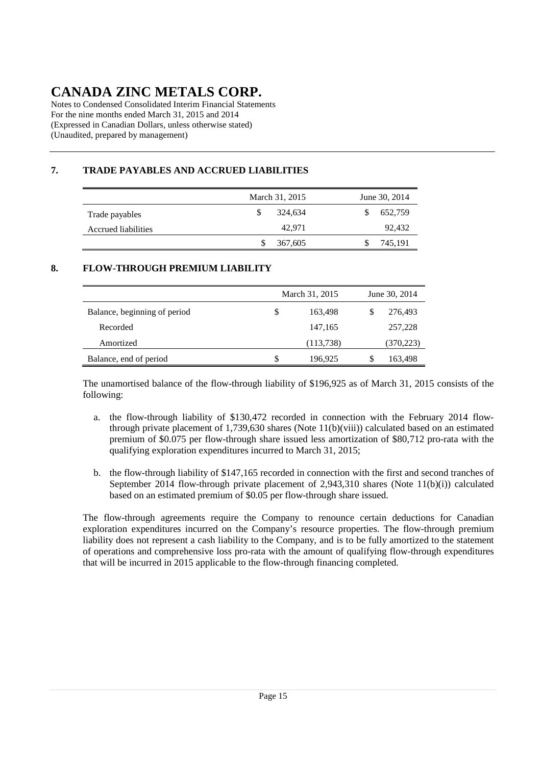Notes to Condensed Consolidated Interim Financial Statements For the nine months ended March 31, 2015 and 2014 (Expressed in Canadian Dollars, unless otherwise stated) (Unaudited, prepared by management)

# **7. TRADE PAYABLES AND ACCRUED LIABILITIES**

|                     | March 31, 2015 | June 30, 2014 |
|---------------------|----------------|---------------|
| Trade payables      | 324.634        | 652,759       |
| Accrued liabilities | 42.971         | 92,432        |
|                     | 367,605        | 745,191       |

### **8. FLOW-THROUGH PREMIUM LIABILITY**

|                              |    | March 31, 2015 | June 30, 2014 |  |  |
|------------------------------|----|----------------|---------------|--|--|
| Balance, beginning of period | \$ | 163,498        | 276,493       |  |  |
| Recorded                     |    | 147,165        | 257,228       |  |  |
| Amortized                    |    | (113, 738)     | (370, 223)    |  |  |
| Balance, end of period       | S  | 196,925        | 163,498       |  |  |

The unamortised balance of the flow-through liability of \$196,925 as of March 31, 2015 consists of the following:

- a. the flow-through liability of \$130,472 recorded in connection with the February 2014 flowthrough private placement of 1,739,630 shares (Note 11(b)(viii)) calculated based on an estimated premium of \$0.075 per flow-through share issued less amortization of \$80,712 pro-rata with the qualifying exploration expenditures incurred to March 31, 2015;
- b. the flow-through liability of \$147,165 recorded in connection with the first and second tranches of September 2014 flow-through private placement of 2,943,310 shares (Note 11(b)(i)) calculated based on an estimated premium of \$0.05 per flow-through share issued.

The flow-through agreements require the Company to renounce certain deductions for Canadian exploration expenditures incurred on the Company's resource properties. The flow-through premium liability does not represent a cash liability to the Company, and is to be fully amortized to the statement of operations and comprehensive loss pro-rata with the amount of qualifying flow-through expenditures that will be incurred in 2015 applicable to the flow-through financing completed.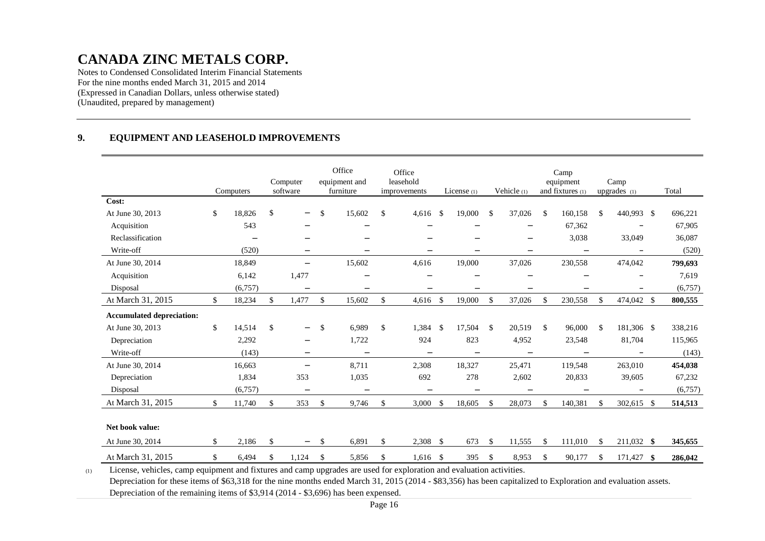Notes to Condensed Consolidated Interim Financial Statements For the nine months ended March 31, 2015 and 2014 (Expressed in Canadian Dollars, unless otherwise stated) (Unaudited, prepared by management)

#### **9.EQUIPMENT AND LEASEHOLD IMPROVEMENTS**

|                                  | Computers    |               | Computer<br>software     |               | Office<br>equipment and<br>furniture | Office<br>leasehold<br>improvements |                         | License $(1)$            |              | Vehicle (1)              | Camp<br>equipment<br>and fixtures (1) |    | Camp<br>upgrades (1) |      | Total   |  |
|----------------------------------|--------------|---------------|--------------------------|---------------|--------------------------------------|-------------------------------------|-------------------------|--------------------------|--------------|--------------------------|---------------------------------------|----|----------------------|------|---------|--|
| Cost:                            |              |               |                          |               |                                      |                                     |                         |                          |              |                          |                                       |    |                      |      |         |  |
| At June 30, 2013                 | \$<br>18,826 | $\mathcal{S}$ | $\overline{\phantom{0}}$ | \$            | 15,602                               | \$<br>4,616                         | -\$                     | 19,000                   | \$           | 37,026                   | \$<br>160,158                         | \$ | 440,993 \$           |      | 696,221 |  |
| Acquisition                      | 543          |               | -                        |               | -                                    |                                     |                         | -                        |              | -                        | 67,362                                |    | $\qquad \qquad -$    |      | 67,905  |  |
| Reclassification                 | -            |               | $\overline{\phantom{0}}$ |               | $\overline{\phantom{0}}$             | $\overline{\phantom{a}}$            |                         | -                        |              | -                        | 3,038                                 |    | 33,049               |      | 36,087  |  |
| Write-off                        | (520)        |               | -                        |               | $\qquad \qquad -$                    | $\qquad \qquad -$                   |                         | $\overline{\phantom{0}}$ |              | -                        | $\overline{\phantom{m}}$              |    | $\qquad \qquad -$    |      | (520)   |  |
| At June 30, 2014                 | 18,849       |               | $\overline{\phantom{0}}$ |               | 15,602                               | 4,616                               |                         | 19,000                   |              | 37,026                   | 230,558                               |    | 474,042              |      | 799,693 |  |
| Acquisition                      | 6,142        |               | 1,477                    |               | $\qquad \qquad -$                    | $\overline{\phantom{0}}$            |                         | $\qquad \qquad -$        |              | $\overline{\phantom{0}}$ | -                                     |    | $\qquad \qquad -$    |      | 7,619   |  |
| Disposal                         | (6,757)      |               | $\qquad \qquad -$        |               | -                                    |                                     |                         | -                        |              | -                        | —                                     |    |                      |      | (6,757) |  |
| At March 31, 2015                | \$<br>18,234 | $\mathbb{S}$  | 1,477                    | $\mathcal{S}$ | 15,602                               | \$<br>4,616                         | $\mathcal{S}$           | 19,000                   | $\mathbb{S}$ | 37,026                   | \$<br>230,558                         | \$ | 474,042 \$           |      | 800,555 |  |
| <b>Accumulated depreciation:</b> |              |               |                          |               |                                      |                                     |                         |                          |              |                          |                                       |    |                      |      |         |  |
| At June 30, 2013                 | \$<br>14,514 | \$            | $\overline{\phantom{0}}$ | \$            | 6,989                                | \$<br>1,384                         | $\mathcal{S}$           | 17,504                   | \$           | 20,519                   | \$<br>96,000                          | \$ | 181,306 \$           |      | 338,216 |  |
| Depreciation                     | 2,292        |               | $\qquad \qquad -$        |               | 1,722                                | 924                                 |                         | 823                      |              | 4,952                    | 23,548                                |    | 81,704               |      | 115,965 |  |
| Write-off                        | (143)        |               | -                        |               | $\qquad \qquad -$                    | $\qquad \qquad -$                   |                         | $\overline{\phantom{m}}$ |              | -                        | $\qquad \qquad -$                     |    | $\qquad \qquad -$    |      | (143)   |  |
| At June 30, 2014                 | 16,663       |               | -                        |               | 8,711                                | 2,308                               |                         | 18,327                   |              | 25,471                   | 119,548                               |    | 263,010              |      | 454,038 |  |
| Depreciation                     | 1,834        |               | 353                      |               | 1,035                                | 692                                 |                         | 278                      |              | 2,602                    | 20,833                                |    | 39,605               |      | 67,232  |  |
| Disposal                         | (6,757)      |               | $\overline{\phantom{m}}$ |               | $\overline{\phantom{0}}$             | $\overline{\phantom{0}}$            |                         | $\overline{\phantom{0}}$ |              | $\overline{\phantom{0}}$ | $\overline{\phantom{0}}$              |    | $\qquad \qquad -$    |      | (6,757) |  |
| At March 31, 2015                | \$<br>11,740 | $\mathbb{S}$  | 353                      | \$            | 9,746                                | \$<br>3,000                         | \$                      | 18,605                   | \$           | 28,073                   | \$<br>140,381                         | \$ | 302,615 \$           |      | 514,513 |  |
|                                  |              |               |                          |               |                                      |                                     |                         |                          |              |                          |                                       |    |                      |      |         |  |
| Net book value:                  |              |               |                          |               |                                      |                                     |                         |                          |              |                          |                                       |    |                      |      |         |  |
| At June 30, 2014                 | \$<br>2,186  | \$            | -                        | <sup>\$</sup> | 6,891                                | \$<br>2,308                         | $\sqrt[6]{\frac{1}{2}}$ | 673                      | \$           | 11,555                   | \$<br>111,010                         | \$ | 211,032 \$           |      | 345,655 |  |
| At March 31, 2015                | \$<br>6,494  | \$            | 1,124                    | \$            | 5,856                                | \$<br>1,616                         | \$                      | 395                      | \$           | 8,953                    | \$<br>90,177                          | S  | 171,427              | - \$ | 286,042 |  |

(1)License, vehicles, camp equipment and fixtures and camp upgrades are used for exploration and evaluation activities.

 Depreciation for these items of \$63,318 for the nine months ended March 31, 2015 (2014 - \$83,356) has been capitalized to Exploration and evaluation assets. Depreciation of the remaining items of \$3,914 (2014 - \$3,696) has been expensed.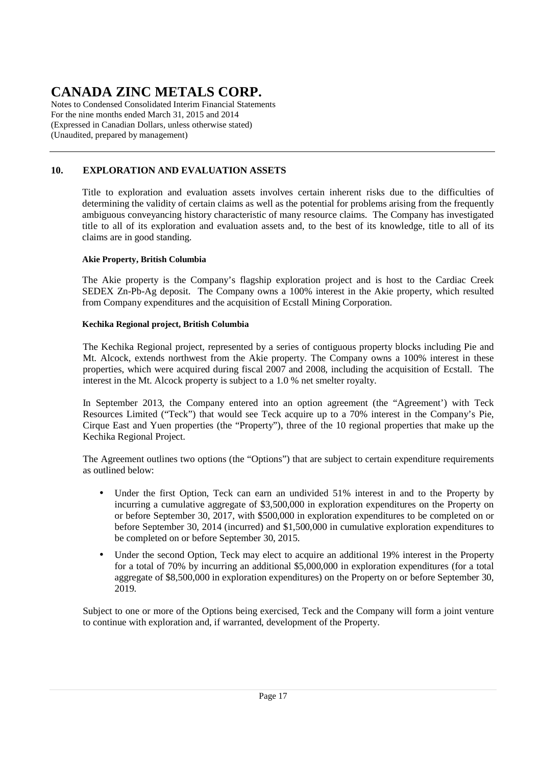Notes to Condensed Consolidated Interim Financial Statements For the nine months ended March 31, 2015 and 2014 (Expressed in Canadian Dollars, unless otherwise stated) (Unaudited, prepared by management)

# **10. EXPLORATION AND EVALUATION ASSETS**

Title to exploration and evaluation assets involves certain inherent risks due to the difficulties of determining the validity of certain claims as well as the potential for problems arising from the frequently ambiguous conveyancing history characteristic of many resource claims. The Company has investigated title to all of its exploration and evaluation assets and, to the best of its knowledge, title to all of its claims are in good standing.

### **Akie Property, British Columbia**

The Akie property is the Company's flagship exploration project and is host to the Cardiac Creek SEDEX Zn-Pb-Ag deposit. The Company owns a 100% interest in the Akie property, which resulted from Company expenditures and the acquisition of Ecstall Mining Corporation.

### **Kechika Regional project, British Columbia**

The Kechika Regional project, represented by a series of contiguous property blocks including Pie and Mt. Alcock, extends northwest from the Akie property. The Company owns a 100% interest in these properties, which were acquired during fiscal 2007 and 2008, including the acquisition of Ecstall. The interest in the Mt. Alcock property is subject to a 1.0 % net smelter royalty.

In September 2013, the Company entered into an option agreement (the "Agreement') with Teck Resources Limited ("Teck") that would see Teck acquire up to a 70% interest in the Company's Pie, Cirque East and Yuen properties (the "Property"), three of the 10 regional properties that make up the Kechika Regional Project.

The Agreement outlines two options (the "Options") that are subject to certain expenditure requirements as outlined below:

- Under the first Option, Teck can earn an undivided 51% interest in and to the Property by incurring a cumulative aggregate of \$3,500,000 in exploration expenditures on the Property on or before September 30, 2017, with \$500,000 in exploration expenditures to be completed on or before September 30, 2014 (incurred) and \$1,500,000 in cumulative exploration expenditures to be completed on or before September 30, 2015.
- Under the second Option, Teck may elect to acquire an additional 19% interest in the Property for a total of 70% by incurring an additional \$5,000,000 in exploration expenditures (for a total aggregate of \$8,500,000 in exploration expenditures) on the Property on or before September 30, 2019.

Subject to one or more of the Options being exercised, Teck and the Company will form a joint venture to continue with exploration and, if warranted, development of the Property.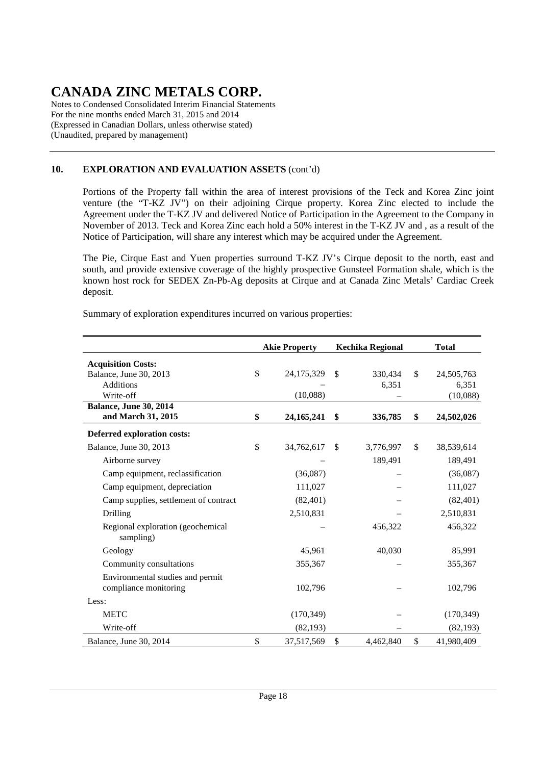Notes to Condensed Consolidated Interim Financial Statements For the nine months ended March 31, 2015 and 2014 (Expressed in Canadian Dollars, unless otherwise stated) (Unaudited, prepared by management)

### **10. EXPLORATION AND EVALUATION ASSETS** (cont'd)

Portions of the Property fall within the area of interest provisions of the Teck and Korea Zinc joint venture (the "T-KZ JV") on their adjoining Cirque property. Korea Zinc elected to include the Agreement under the T-KZ JV and delivered Notice of Participation in the Agreement to the Company in November of 2013. Teck and Korea Zinc each hold a 50% interest in the T-KZ JV and , as a result of the Notice of Participation, will share any interest which may be acquired under the Agreement.

The Pie, Cirque East and Yuen properties surround T-KZ JV's Cirque deposit to the north, east and south, and provide extensive coverage of the highly prospective Gunsteel Formation shale, which is the known host rock for SEDEX Zn-Pb-Ag deposits at Cirque and at Canada Zinc Metals' Cardiac Creek deposit.

Summary of exploration expenditures incurred on various properties:

|                                                           | <b>Akie Property</b> |               | Kechika Regional | <b>Total</b>     |  |  |  |
|-----------------------------------------------------------|----------------------|---------------|------------------|------------------|--|--|--|
| <b>Acquisition Costs:</b>                                 |                      |               |                  |                  |  |  |  |
| Balance, June 30, 2013                                    | \$<br>24,175,329     | \$            | 330,434          | \$<br>24,505,763 |  |  |  |
| <b>Additions</b>                                          |                      |               | 6,351            | 6,351            |  |  |  |
| Write-off                                                 | (10,088)             |               |                  | (10,088)         |  |  |  |
| <b>Balance, June 30, 2014</b><br>and March 31, 2015       | \$<br>24, 165, 241   | \$            | 336,785          | \$<br>24,502,026 |  |  |  |
|                                                           |                      |               |                  |                  |  |  |  |
| Deferred exploration costs:<br>Balance, June 30, 2013     | \$<br>34,762,617     | <sup>\$</sup> | 3,776,997        | \$<br>38,539,614 |  |  |  |
| Airborne survey                                           |                      |               | 189,491          | 189,491          |  |  |  |
| Camp equipment, reclassification                          | (36,087)             |               |                  | (36,087)         |  |  |  |
| Camp equipment, depreciation                              | 111,027              |               |                  | 111,027          |  |  |  |
| Camp supplies, settlement of contract                     | (82, 401)            |               |                  | (82, 401)        |  |  |  |
| Drilling                                                  | 2,510,831            |               |                  | 2,510,831        |  |  |  |
| Regional exploration (geochemical<br>sampling)            |                      |               | 456,322          | 456,322          |  |  |  |
| Geology                                                   | 45,961               |               | 40,030           | 85,991           |  |  |  |
| Community consultations                                   | 355,367              |               |                  | 355,367          |  |  |  |
| Environmental studies and permit<br>compliance monitoring | 102,796              |               |                  | 102,796          |  |  |  |
| Less:                                                     |                      |               |                  |                  |  |  |  |
| <b>METC</b>                                               | (170, 349)           |               |                  | (170, 349)       |  |  |  |
| Write-off                                                 | (82, 193)            |               |                  | (82, 193)        |  |  |  |
| Balance, June 30, 2014                                    | \$<br>37,517,569     | \$            | 4,462,840        | \$<br>41,980,409 |  |  |  |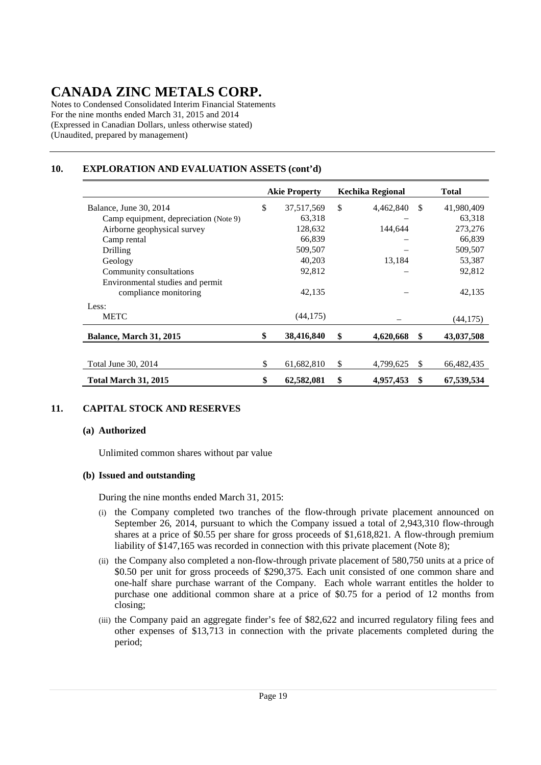Notes to Condensed Consolidated Interim Financial Statements For the nine months ended March 31, 2015 and 2014 (Expressed in Canadian Dollars, unless otherwise stated) (Unaudited, prepared by management)

### **10. EXPLORATION AND EVALUATION ASSETS (cont'd)**

|                                       | <b>Akie Property</b> |     | Kechika Regional |               | Total      |
|---------------------------------------|----------------------|-----|------------------|---------------|------------|
| Balance, June 30, 2014                | \$<br>37,517,569     | \$  | 4,462,840        | -\$           | 41,980,409 |
| Camp equipment, depreciation (Note 9) | 63,318               |     |                  |               | 63,318     |
| Airborne geophysical survey           | 128,632              |     | 144.644          |               | 273,276    |
| Camp rental                           | 66,839               |     |                  |               | 66,839     |
| Drilling                              | 509,507              |     |                  |               | 509,507    |
| Geology                               | 40,203               |     | 13,184           |               | 53,387     |
| Community consultations               | 92,812               |     |                  |               | 92,812     |
| Environmental studies and permit      |                      |     |                  |               |            |
| compliance monitoring                 | 42,135               |     |                  |               | 42,135     |
| Less:                                 |                      |     |                  |               |            |
| <b>METC</b>                           | (44, 175)            |     |                  |               | (44, 175)  |
| Balance, March 31, 2015               | 38,416,840           | \$  | 4,620,668        | \$            | 43,037,508 |
|                                       |                      |     |                  |               |            |
| Total June 30, 2014                   | \$<br>61,682,810     | \$. | 4,799,625        | <sup>\$</sup> | 66,482,435 |
| <b>Total March 31, 2015</b>           | \$<br>62,582,081     | \$  | 4,957,453        | \$            | 67,539,534 |

### **11. CAPITAL STOCK AND RESERVES**

#### **(a) Authorized**

Unlimited common shares without par value

### **(b) Issued and outstanding**

During the nine months ended March 31, 2015:

- (i) the Company completed two tranches of the flow-through private placement announced on September 26, 2014, pursuant to which the Company issued a total of 2,943,310 flow-through shares at a price of \$0.55 per share for gross proceeds of \$1,618,821. A flow-through premium liability of \$147,165 was recorded in connection with this private placement (Note 8);
- (ii) the Company also completed a non-flow-through private placement of 580,750 units at a price of \$0.50 per unit for gross proceeds of \$290,375. Each unit consisted of one common share and one-half share purchase warrant of the Company. Each whole warrant entitles the holder to purchase one additional common share at a price of \$0.75 for a period of 12 months from closing;
- (iii) the Company paid an aggregate finder's fee of \$82,622 and incurred regulatory filing fees and other expenses of \$13,713 in connection with the private placements completed during the period;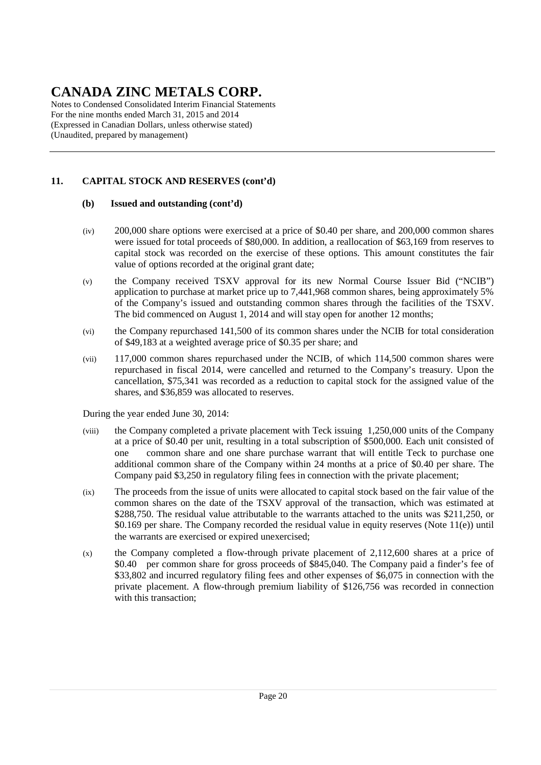Notes to Condensed Consolidated Interim Financial Statements For the nine months ended March 31, 2015 and 2014 (Expressed in Canadian Dollars, unless otherwise stated) (Unaudited, prepared by management)

# **11. CAPITAL STOCK AND RESERVES (cont'd)**

### **(b) Issued and outstanding (cont'd)**

- (iv) 200,000 share options were exercised at a price of \$0.40 per share, and 200,000 common shares were issued for total proceeds of \$80,000. In addition, a reallocation of \$63,169 from reserves to capital stock was recorded on the exercise of these options. This amount constitutes the fair value of options recorded at the original grant date;
- (v) the Company received TSXV approval for its new Normal Course Issuer Bid ("NCIB") application to purchase at market price up to 7,441,968 common shares, being approximately 5% of the Company's issued and outstanding common shares through the facilities of the TSXV. The bid commenced on August 1, 2014 and will stay open for another 12 months;
- (vi) the Company repurchased 141,500 of its common shares under the NCIB for total consideration of \$49,183 at a weighted average price of \$0.35 per share; and
- (vii) 117,000 common shares repurchased under the NCIB, of which 114,500 common shares were repurchased in fiscal 2014, were cancelled and returned to the Company's treasury. Upon the cancellation, \$75,341 was recorded as a reduction to capital stock for the assigned value of the shares, and \$36,859 was allocated to reserves.

During the year ended June 30, 2014:

- (viii) the Company completed a private placement with Teck issuing 1,250,000 units of the Company at a price of \$0.40 per unit, resulting in a total subscription of \$500,000. Each unit consisted of one common share and one share purchase warrant that will entitle Teck to purchase one additional common share of the Company within 24 months at a price of \$0.40 per share. The Company paid \$3,250 in regulatory filing fees in connection with the private placement;
- (ix) The proceeds from the issue of units were allocated to capital stock based on the fair value of the common shares on the date of the TSXV approval of the transaction, which was estimated at \$288,750. The residual value attributable to the warrants attached to the units was \$211,250, or \$0.169 per share. The Company recorded the residual value in equity reserves (Note 11(e)) until the warrants are exercised or expired unexercised;
- $(x)$  the Company completed a flow-through private placement of 2,112,600 shares at a price of \$0.40 per common share for gross proceeds of \$845,040. The Company paid a finder's fee of \$33,802 and incurred regulatory filing fees and other expenses of \$6,075 in connection with the private placement. A flow-through premium liability of \$126,756 was recorded in connection with this transaction: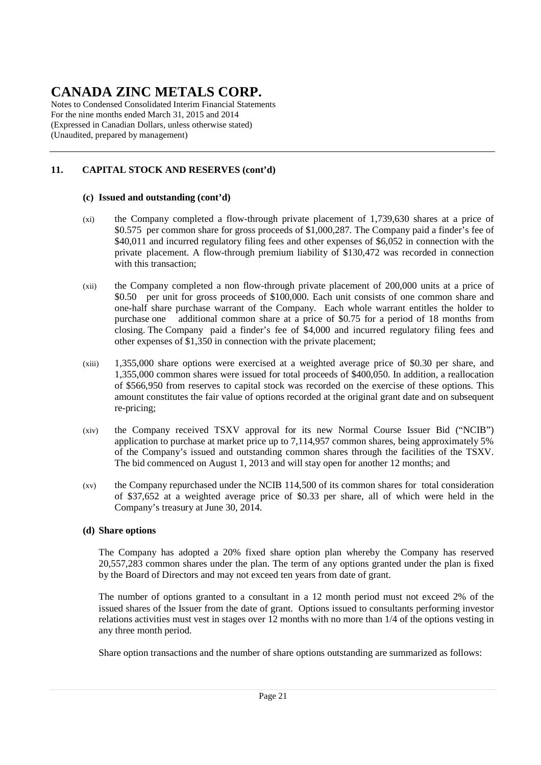Notes to Condensed Consolidated Interim Financial Statements For the nine months ended March 31, 2015 and 2014 (Expressed in Canadian Dollars, unless otherwise stated) (Unaudited, prepared by management)

# **11. CAPITAL STOCK AND RESERVES (cont'd)**

### **(c) Issued and outstanding (cont'd)**

- (xi) the Company completed a flow-through private placement of 1,739,630 shares at a price of \$0.575 per common share for gross proceeds of \$1,000,287. The Company paid a finder's fee of \$40,011 and incurred regulatory filing fees and other expenses of \$6,052 in connection with the private placement. A flow-through premium liability of \$130,472 was recorded in connection with this transaction:
- (xii) the Company completed a non flow-through private placement of 200,000 units at a price of \$0.50 per unit for gross proceeds of \$100,000. Each unit consists of one common share and one-half share purchase warrant of the Company. Each whole warrant entitles the holder to purchase one additional common share at a price of \$0.75 for a period of 18 months from closing. The Company paid a finder's fee of \$4,000 and incurred regulatory filing fees and other expenses of \$1,350 in connection with the private placement;
- (xiii) 1,355,000 share options were exercised at a weighted average price of \$0.30 per share, and 1,355,000 common shares were issued for total proceeds of \$400,050. In addition, a reallocation of \$566,950 from reserves to capital stock was recorded on the exercise of these options. This amount constitutes the fair value of options recorded at the original grant date and on subsequent re-pricing;
- (xiv) the Company received TSXV approval for its new Normal Course Issuer Bid ("NCIB") application to purchase at market price up to 7,114,957 common shares, being approximately 5% of the Company's issued and outstanding common shares through the facilities of the TSXV. The bid commenced on August 1, 2013 and will stay open for another 12 months; and
- (xv) the Company repurchased under the NCIB 114,500 of its common shares for total consideration of \$37,652 at a weighted average price of \$0.33 per share, all of which were held in the Company's treasury at June 30, 2014.

### **(d) Share options**

The Company has adopted a 20% fixed share option plan whereby the Company has reserved 20,557,283 common shares under the plan. The term of any options granted under the plan is fixed by the Board of Directors and may not exceed ten years from date of grant.

 The number of options granted to a consultant in a 12 month period must not exceed 2% of the issued shares of the Issuer from the date of grant. Options issued to consultants performing investor relations activities must vest in stages over 12 months with no more than 1/4 of the options vesting in any three month period.

Share option transactions and the number of share options outstanding are summarized as follows: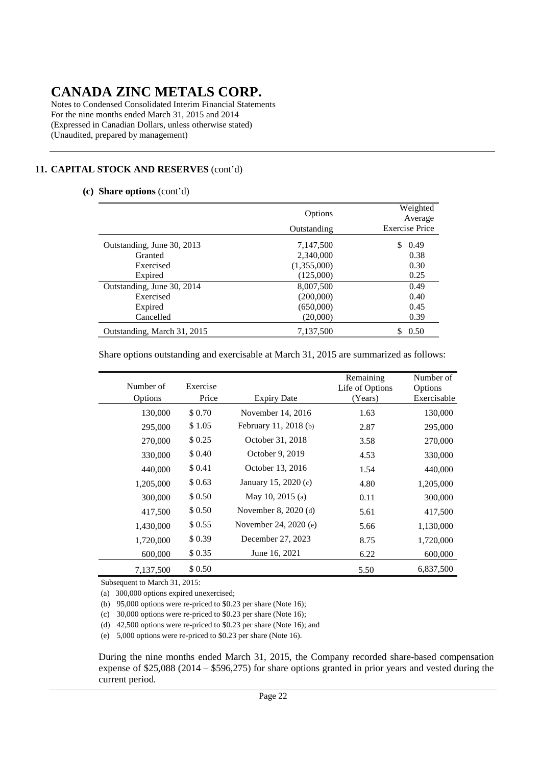Notes to Condensed Consolidated Interim Financial Statements For the nine months ended March 31, 2015 and 2014 (Expressed in Canadian Dollars, unless otherwise stated) (Unaudited, prepared by management)

### **11. CAPITAL STOCK AND RESERVES** (cont'd)

#### **(c) Share options** (cont'd)

|                             | Options<br>Outstanding | Weighted<br>Average<br><b>Exercise Price</b> |
|-----------------------------|------------------------|----------------------------------------------|
| Outstanding, June 30, 2013  | 7,147,500              | 0.49                                         |
| Granted                     | 2,340,000              | 0.38                                         |
| Exercised                   | (1,355,000)            | 0.30                                         |
| Expired                     | (125,000)              | 0.25                                         |
| Outstanding, June 30, 2014  | 8,007,500              | 0.49                                         |
| Exercised                   | (200,000)              | 0.40                                         |
| Expired                     | (650,000)              | 0.45                                         |
| Cancelled                   | (20,000)               | 0.39                                         |
| Outstanding, March 31, 2015 | 7,137,500              | 0.50                                         |

Share options outstanding and exercisable at March 31, 2015 are summarized as follows:

| Number of<br>Options | Exercise<br>Price | <b>Expiry Date</b>    | Remaining<br>Life of Options<br>(Years) | Number of<br>Options<br>Exercisable |
|----------------------|-------------------|-----------------------|-----------------------------------------|-------------------------------------|
| 130,000              | \$0.70            | November 14, 2016     | 1.63                                    | 130,000                             |
| 295,000              | \$1.05            | February 11, 2018 (b) | 2.87                                    | 295,000                             |
| 270,000              | \$ 0.25           | October 31, 2018      | 3.58                                    | 270,000                             |
| 330,000              | \$ 0.40           | October 9, 2019       | 4.53                                    | 330,000                             |
| 440,000              | \$ 0.41           | October 13, 2016      | 1.54                                    | 440,000                             |
| 1,205,000            | \$ 0.63           | January 15, 2020 (c)  | 4.80                                    | 1,205,000                           |
| 300,000              | \$ 0.50           | May 10, 2015 (a)      | 0.11                                    | 300,000                             |
| 417,500              | \$ 0.50           | November 8, $2020(d)$ | 5.61                                    | 417,500                             |
| 1,430,000            | \$ 0.55           | November 24, 2020 (e) | 5.66                                    | 1,130,000                           |
| 1,720,000            | \$0.39            | December 27, 2023     | 8.75                                    | 1,720,000                           |
| 600,000              | \$0.35            | June 16, 2021         | 6.22                                    | 600,000                             |
| 7,137,500            | \$0.50            |                       | 5.50                                    | 6,837,500                           |

Subsequent to March 31, 2015:

(a) 300,000 options expired unexercised;

(b) 95,000 options were re-priced to \$0.23 per share (Note 16);

(c) 30,000 options were re-priced to \$0.23 per share (Note 16);

(d) 42,500 options were re-priced to \$0.23 per share (Note 16); and

(e) 5,000 options were re-priced to \$0.23 per share (Note 16).

During the nine months ended March 31, 2015, the Company recorded share-based compensation expense of \$25,088 (2014 – \$596,275) for share options granted in prior years and vested during the current period.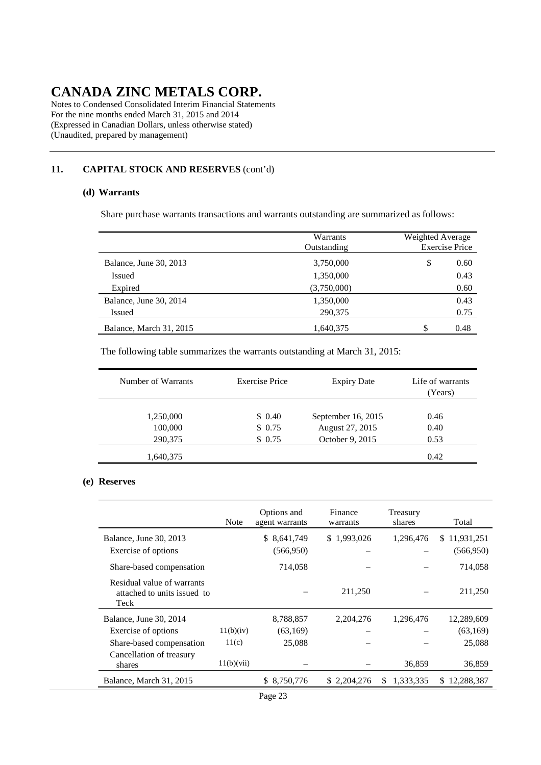Notes to Condensed Consolidated Interim Financial Statements For the nine months ended March 31, 2015 and 2014 (Expressed in Canadian Dollars, unless otherwise stated) (Unaudited, prepared by management)

### **11. CAPITAL STOCK AND RESERVES** (cont'd)

#### **(d) Warrants**

Share purchase warrants transactions and warrants outstanding are summarized as follows:

|                         | Warrants<br>Outstanding | Weighted Average<br><b>Exercise Price</b> |
|-------------------------|-------------------------|-------------------------------------------|
| Balance, June 30, 2013  | 3,750,000               | \$<br>0.60                                |
| Issued                  | 1,350,000               | 0.43                                      |
| Expired                 | (3,750,000)             | 0.60                                      |
| Balance, June 30, 2014  | 1,350,000               | 0.43                                      |
| Issued                  | 290,375                 | 0.75                                      |
| Balance, March 31, 2015 | 1,640,375               | S<br>0.48                                 |

The following table summarizes the warrants outstanding at March 31, 2015:

| Number of Warrants | <b>Exercise Price</b> | <b>Expiry Date</b> | Life of warrants<br>(Years) |
|--------------------|-----------------------|--------------------|-----------------------------|
| 1,250,000          | \$0.40                | September 16, 2015 | 0.46                        |
| 100,000            | \$0.75                | August 27, 2015    | 0.40                        |
| 290,375            | \$0.75                | October 9, 2015    | 0.53                        |
| 1,640,375          |                       |                    | 0.42                        |

#### **(e) Reserves**

|                                                                   | Note       | Options and<br>agent warrants | Finance<br>warrants | Treasury<br>shares | Total        |
|-------------------------------------------------------------------|------------|-------------------------------|---------------------|--------------------|--------------|
| Balance, June 30, 2013                                            |            | \$ 8,641,749                  | \$1,993,026         | 1,296,476          | \$11,931,251 |
| Exercise of options                                               |            | (566, 950)                    |                     |                    | (566,950)    |
| Share-based compensation                                          |            | 714,058                       |                     |                    | 714,058      |
| Residual value of warrants<br>attached to units issued to<br>Teck |            |                               | 211,250             |                    | 211,250      |
| Balance, June 30, 2014                                            |            | 8,788,857                     | 2, 204, 276         | 1,296,476          | 12,289,609   |
| Exercise of options                                               | 11(b)(iv)  | (63, 169)                     |                     |                    | (63,169)     |
| Share-based compensation                                          | 11(c)      | 25,088                        |                     |                    | 25,088       |
| Cancellation of treasury<br>shares                                | 11(b)(vii) |                               |                     | 36,859             | 36,859       |
| Balance, March 31, 2015                                           |            | \$ 8,750,776                  | \$2,204,276         | 1,333,335<br>S.    | \$12,288,387 |
|                                                                   |            |                               |                     |                    |              |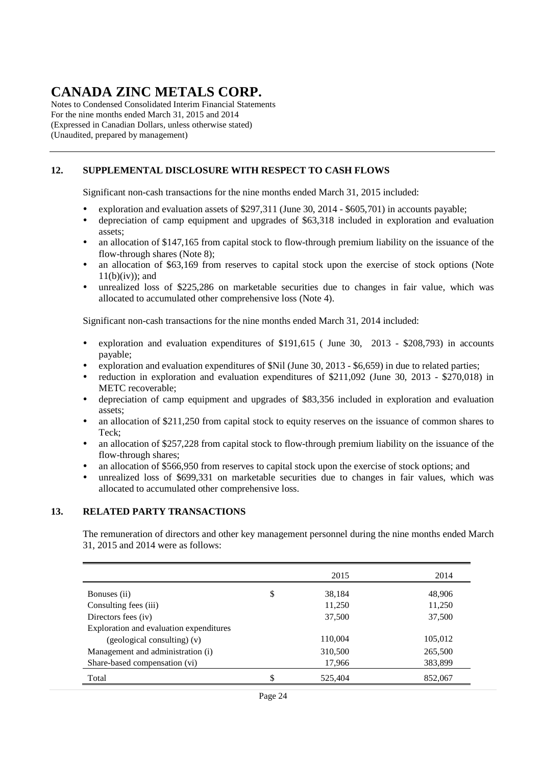Notes to Condensed Consolidated Interim Financial Statements For the nine months ended March 31, 2015 and 2014 (Expressed in Canadian Dollars, unless otherwise stated) (Unaudited, prepared by management)

### **12. SUPPLEMENTAL DISCLOSURE WITH RESPECT TO CASH FLOWS**

Significant non-cash transactions for the nine months ended March 31, 2015 included:

- exploration and evaluation assets of \$297,311 (June 30, 2014 \$605,701) in accounts payable;
- depreciation of camp equipment and upgrades of \$63,318 included in exploration and evaluation assets;
- an allocation of \$147,165 from capital stock to flow-through premium liability on the issuance of the flow-through shares (Note 8);
- an allocation of \$63,169 from reserves to capital stock upon the exercise of stock options (Note  $11(b)(iv)$ ; and
- unrealized loss of \$225,286 on marketable securities due to changes in fair value, which was allocated to accumulated other comprehensive loss (Note 4).

Significant non-cash transactions for the nine months ended March 31, 2014 included:

- exploration and evaluation expenditures of \$191,615 ( June 30, 2013 \$208,793) in accounts payable;
- exploration and evaluation expenditures of \$Nil (June 30, 2013 \$6,659) in due to related parties;
- reduction in exploration and evaluation expenditures of \$211,092 (June 30, 2013 \$270,018) in METC recoverable;
- depreciation of camp equipment and upgrades of \$83,356 included in exploration and evaluation assets;
- an allocation of \$211,250 from capital stock to equity reserves on the issuance of common shares to Teck;
- an allocation of \$257,228 from capital stock to flow-through premium liability on the issuance of the flow-through shares;
- an allocation of \$566,950 from reserves to capital stock upon the exercise of stock options; and
- unrealized loss of \$699,331 on marketable securities due to changes in fair values, which was allocated to accumulated other comprehensive loss.

#### **13. RELATED PARTY TRANSACTIONS**

The remuneration of directors and other key management personnel during the nine months ended March 31, 2015 and 2014 were as follows:

|                                         | 2015          | 2014    |
|-----------------------------------------|---------------|---------|
| Bonuses (ii)                            | \$<br>38,184  | 48,906  |
| Consulting fees (iii)                   | 11,250        | 11,250  |
| Directors fees (iv)                     | 37,500        | 37,500  |
| Exploration and evaluation expenditures |               |         |
| (geological consulting) (v)             | 110,004       | 105,012 |
| Management and administration (i)       | 310,500       | 265,500 |
| Share-based compensation (vi)           | 17,966        | 383,899 |
| Total                                   | \$<br>525,404 | 852,067 |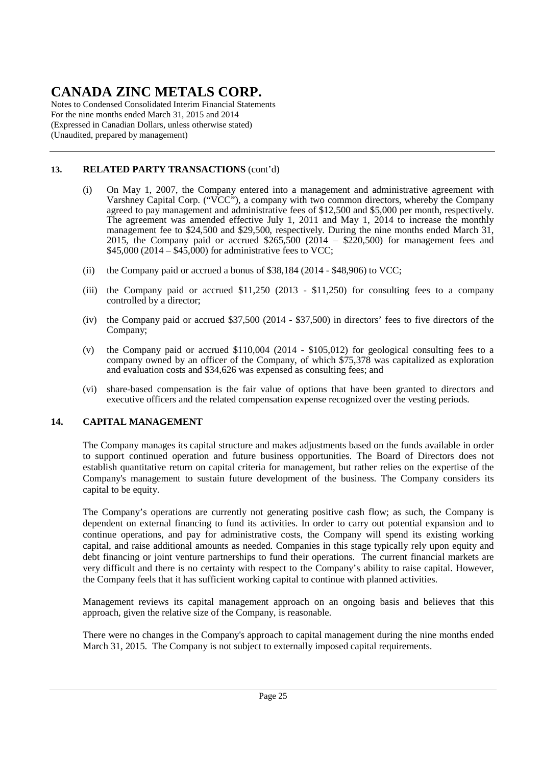Notes to Condensed Consolidated Interim Financial Statements For the nine months ended March 31, 2015 and 2014 (Expressed in Canadian Dollars, unless otherwise stated) (Unaudited, prepared by management)

### **13. RELATED PARTY TRANSACTIONS** (cont'd)

- (i) On May 1, 2007, the Company entered into a management and administrative agreement with Varshney Capital Corp. ("VCC"), a company with two common directors, whereby the Company agreed to pay management and administrative fees of \$12,500 and \$5,000 per month, respectively. The agreement was amended effective July 1, 2011 and May 1, 2014 to increase the monthly management fee to \$24,500 and \$29,500, respectively. During the nine months ended March 31, 2015, the Company paid or accrued \$265,500 (2014 – \$220,500) for management fees and  $$45,000 (2014 - $45,000)$  for administrative fees to VCC;
- (ii) the Company paid or accrued a bonus of \$38,184 (2014 \$48,906) to VCC;
- (iii) the Company paid or accrued \$11,250 (2013 \$11,250) for consulting fees to a company controlled by a director;
- (iv) the Company paid or accrued \$37,500 (2014 \$37,500) in directors' fees to five directors of the Company;
- (v) the Company paid or accrued \$110,004 (2014 \$105,012) for geological consulting fees to a company owned by an officer of the Company, of which \$75,378 was capitalized as exploration and evaluation costs and \$34,626 was expensed as consulting fees; and
- (vi) share-based compensation is the fair value of options that have been granted to directors and executive officers and the related compensation expense recognized over the vesting periods.

### **14. CAPITAL MANAGEMENT**

The Company manages its capital structure and makes adjustments based on the funds available in order to support continued operation and future business opportunities. The Board of Directors does not establish quantitative return on capital criteria for management, but rather relies on the expertise of the Company's management to sustain future development of the business. The Company considers its capital to be equity.

The Company's operations are currently not generating positive cash flow; as such, the Company is dependent on external financing to fund its activities. In order to carry out potential expansion and to continue operations, and pay for administrative costs, the Company will spend its existing working capital, and raise additional amounts as needed. Companies in this stage typically rely upon equity and debt financing or joint venture partnerships to fund their operations. The current financial markets are very difficult and there is no certainty with respect to the Company's ability to raise capital. However, the Company feels that it has sufficient working capital to continue with planned activities.

Management reviews its capital management approach on an ongoing basis and believes that this approach, given the relative size of the Company, is reasonable.

There were no changes in the Company's approach to capital management during the nine months ended March 31, 2015. The Company is not subject to externally imposed capital requirements.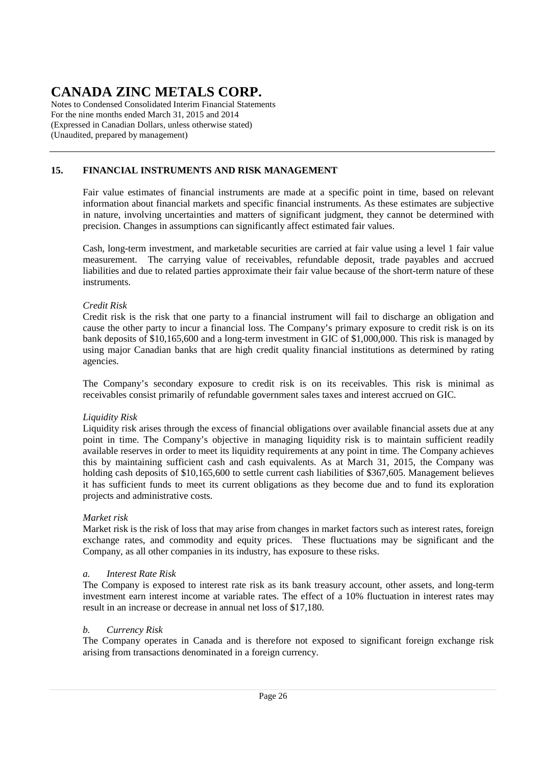Notes to Condensed Consolidated Interim Financial Statements For the nine months ended March 31, 2015 and 2014 (Expressed in Canadian Dollars, unless otherwise stated) (Unaudited, prepared by management)

### **15. FINANCIAL INSTRUMENTS AND RISK MANAGEMENT**

Fair value estimates of financial instruments are made at a specific point in time, based on relevant information about financial markets and specific financial instruments. As these estimates are subjective in nature, involving uncertainties and matters of significant judgment, they cannot be determined with precision. Changes in assumptions can significantly affect estimated fair values.

Cash, long-term investment, and marketable securities are carried at fair value using a level 1 fair value measurement. The carrying value of receivables, refundable deposit, trade payables and accrued liabilities and due to related parties approximate their fair value because of the short-term nature of these instruments.

### *Credit Risk*

Credit risk is the risk that one party to a financial instrument will fail to discharge an obligation and cause the other party to incur a financial loss. The Company's primary exposure to credit risk is on its bank deposits of \$10,165,600 and a long-term investment in GIC of \$1,000,000. This risk is managed by using major Canadian banks that are high credit quality financial institutions as determined by rating agencies.

The Company's secondary exposure to credit risk is on its receivables. This risk is minimal as receivables consist primarily of refundable government sales taxes and interest accrued on GIC.

### *Liquidity Risk*

Liquidity risk arises through the excess of financial obligations over available financial assets due at any point in time. The Company's objective in managing liquidity risk is to maintain sufficient readily available reserves in order to meet its liquidity requirements at any point in time. The Company achieves this by maintaining sufficient cash and cash equivalents. As at March 31, 2015, the Company was holding cash deposits of \$10,165,600 to settle current cash liabilities of \$367,605. Management believes it has sufficient funds to meet its current obligations as they become due and to fund its exploration projects and administrative costs.

### *Market risk*

Market risk is the risk of loss that may arise from changes in market factors such as interest rates, foreign exchange rates, and commodity and equity prices. These fluctuations may be significant and the Company, as all other companies in its industry, has exposure to these risks.

### *a. Interest Rate Risk*

The Company is exposed to interest rate risk as its bank treasury account, other assets, and long-term investment earn interest income at variable rates. The effect of a 10% fluctuation in interest rates may result in an increase or decrease in annual net loss of \$17,180.

### *b. Currency Risk*

The Company operates in Canada and is therefore not exposed to significant foreign exchange risk arising from transactions denominated in a foreign currency.